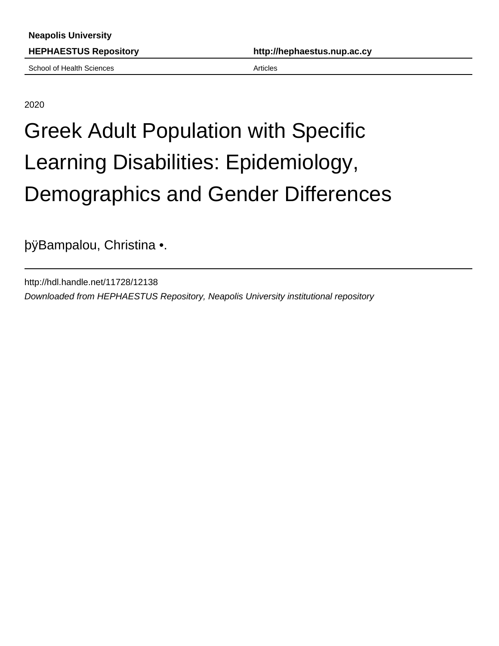School of Health Sciences **Articles** Articles

2020

# Greek Adult Population with Specific Learning Disabilities: Epidemiology, Demographics and Gender Differences

þÿBampalou, Christina •.

http://hdl.handle.net/11728/12138 Downloaded from HEPHAESTUS Repository, Neapolis University institutional repository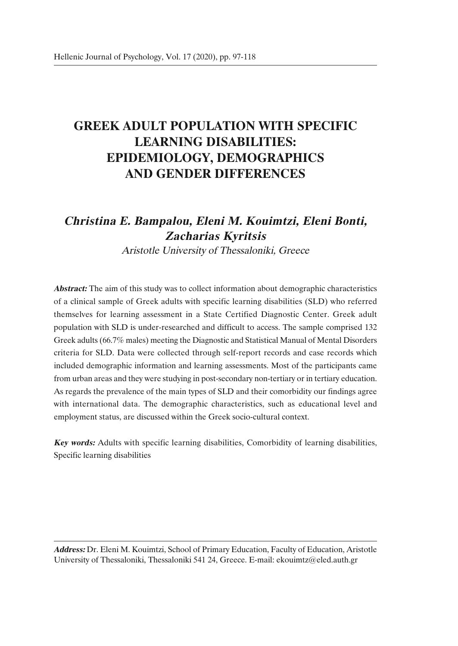## **GREEK ADULT POPULATION WITH SPECIFIC LEARNING DISABILITIES: EPIDEMIOLOGY, DEMOGRAPHICS AND GENDER DIFFERENCES**

### **Christina Ε. Bampalou, Eleni M. Kouimtzi, Eleni Bonti, Zacharias Kyritsis**

Aristotle University of Thessaloniki, Greece

**Abstract:** The aim of this study was to collect information about demographic characteristics of a clinical sample of Greek adults with specific learning disabilities (SLD) who referred themselves for learning assessment in a State Certified Diagnostic Center. Greek adult population with SLD is under-researched and difficult to access. The sample comprised 132 Greek adults (66.7% males) meeting the Diagnostic and Statistical Manual of Mental Disorders criteria for SLD. Data were collected through self-report records and case records which included demographic information and learning assessments. Most of the participants came from urban areas and they were studying in post-secondary non-tertiary or in tertiary education. As regards the prevalence of the main types of SLD and their comorbidity our findings agree with international data. The demographic characteristics, such as educational level and employment status, are discussed within the Greek socio-cultural context.

**Key words:** Adults with specific learning disabilities, Comorbidity of learning disabilities, Specific learning disabilities

**Address:** Dr. Eleni M. Kouimtzi, School of Primary Education, Faculty of Education, Aristotle University of Thessaloniki, Thessaloniki 541 24, Greece. E-mail: ekouimtz@eled.auth.gr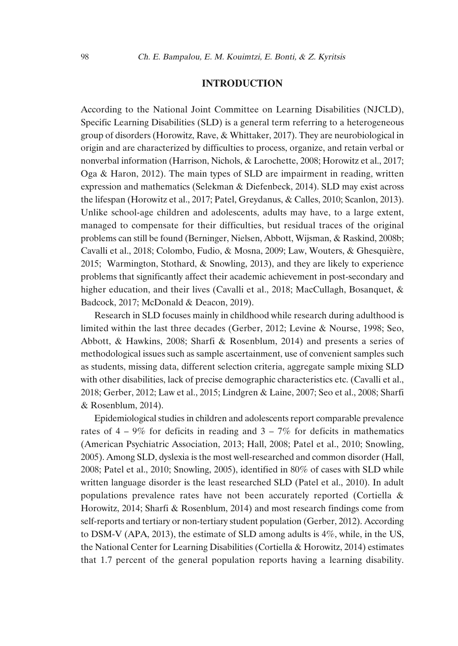#### **INTRODUCTION**

According to the National Joint Committee on Learning Disabilities (NJCLD), Specific Learning Disabilities (SLD) is a general term referring to a heterogeneous group of disorders (Horowitz, Rave, & Whittaker, 2017). They are neurobiological in origin and are characterized by difficulties to process, organize, and retain verbal or nonverbal information (Harrison, Nichols, & Larochette, 2008; Horowitz et al., 2017; Oga & Haron, 2012). The main types of SLD are impairment in reading, written expression and mathematics (Selekman & Diefenbeck, 2014). SLD may exist across the lifespan (Horowitz et al., 2017; Patel, Greydanus, & Calles, 2010; Scanlon, 2013). Unlike school-age children and adolescents, adults may have, to a large extent, managed to compensate for their difficulties, but residual traces of the original problems can still be found (Berninger, Nielsen, Abbott, Wijsman, & Raskind, 2008b; Cavalli et al., 2018; Colombo, Fudio, & Mosna, 2009; Law, Wouters, & Ghesquière, 2015; Warmington, Stothard, & Snowling, 2013), and they are likely to experience problems that significantly affect their academic achievement in post-secondary and higher education, and their lives (Cavalli et al., 2018; MacCullagh, Bosanquet, & Badcock, 2017; McDonald & Deacon, 2019).

Research in SLD focuses mainly in childhood while research during adulthood is limited within the last three decades (Gerber, 2012; Levine & Nourse, 1998; Seo, Abbott, & Hawkins, 2008; Sharfi & Rosenblum, 2014) and presents a series of methodological issues such as sample ascertainment, use of convenient samples such as students, missing data, different selection criteria, aggregate sample mixing SLD with other disabilities, lack of precise demographic characteristics etc. (Cavalli et al., 2018; Gerber, 2012; Law et al., 2015; Lindgren & Laine, 2007; Seo et al., 2008; Sharfi & Rosenblum, 2014).

Epidemiological studies in children and adolescents report comparable prevalence rates of  $4 - 9\%$  for deficits in reading and  $3 - 7\%$  for deficits in mathematics (American Psychiatric Association, 2013; Hall, 2008; Patel et al., 2010; Snowling, 2005). Among SLD, dyslexia is the most well-researched and common disorder (Hall, 2008; Patel et al., 2010; Snowling, 2005), identified in 80% of cases with SLD while written language disorder is the least researched SLD (Patel et al., 2010). In adult populations prevalence rates have not been accurately reported (Cortiella & Horowitz, 2014; Sharfi & Rosenblum, 2014) and most research findings come from self-reports and tertiary or non-tertiary student population (Gerber, 2012). According to DSM-V (APA, 2013), the estimate of SLD among adults is 4%, while, in the US, the National Center for Learning Disabilities (Cortiella & Horowitz, 2014) estimates that 1.7 percent of the general population reports having a learning disability.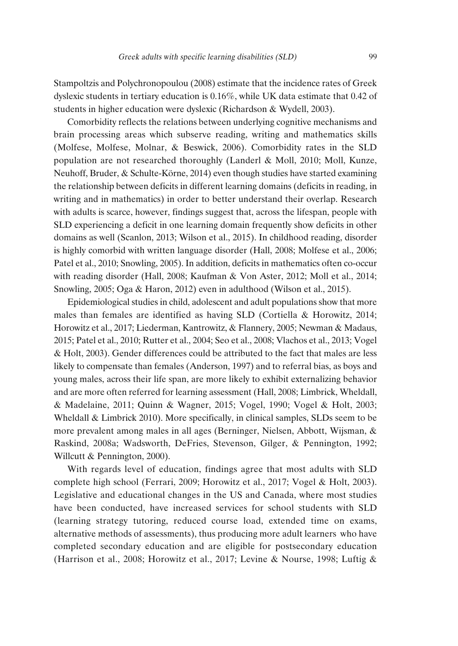Stampoltzis and Polychronopoulou (2008) estimate that the incidence rates of Greek dyslexic students in tertiary education is 0.16%, while UK data estimate that 0.42 of students in higher education were dyslexic (Richardson & Wydell, 2003).

Comorbidity reflects the relations between underlying cognitive mechanisms and brain processing areas which subserve reading, writing and mathematics skills (Molfese, Molfese, Molnar, & Beswick, 2006). Comorbidity rates in the SLD population are not researched thoroughly (Landerl & Moll, 2010; Moll, Kunze, Neuhoff, Bruder, & Schulte-Körne, 2014) even though studies have started examining the relationship between deficits in different learning domains (deficits in reading, in writing and in mathematics) in order to better understand their overlap. Research with adults is scarce, however, findings suggest that, across the lifespan, people with SLD experiencing a deficit in one learning domain frequently show deficits in other domains as well (Scanlon, 2013; Wilson et al., 2015). In childhood reading, disorder is highly comorbid with written language disorder (Hall, 2008; Molfese et al., 2006; Patel et al., 2010; Snowling, 2005). In addition, deficits in mathematics often co-occur with reading disorder (Hall, 2008; Kaufman & Von Aster, 2012; Moll et al., 2014; Snowling, 2005; Oga & Haron, 2012) even in adulthood (Wilson et al., 2015).

Epidemiological studies in child, adolescent and adult populations show that more males than females are identified as having SLD (Cortiella & Horowitz, 2014; Horowitz et al., 2017; Liederman, Kantrowitz, & Flannery, 2005; Newman & Madaus, 2015; Patel et al., 2010; Rutter et al., 2004; Seo et al., 2008; Vlachos et al., 2013; Vogel & Holt, 2003). Gender differences could be attributed to the fact that males are less likely to compensate than females (Anderson, 1997) and to referral bias, as boys and young males, across their life span, are more likely to exhibit externalizing behavior and are more often referred for learning assessment (Hall, 2008; Limbrick, Wheldall, & Madelaine, 2011; Quinn & Wagner, 2015; Vogel, 1990; Vogel & Holt, 2003; Wheldall & Limbrick 2010). More specifically, in clinical samples, SLDs seem to be more prevalent among males in all ages (Berninger, Nielsen, Abbott, Wijsman, & Raskind, 2008a; Wadsworth, DeFries, Stevenson, Gilger, & Pennington, 1992; Willcutt & Pennington, 2000).

With regards level of education, findings agree that most adults with SLD complete high school (Ferrari, 2009; Horowitz et al., 2017; Vogel & Holt, 2003). Legislative and educational changes in the US and Canada, where most studies have been conducted, have increased services for school students with SLD (learning strategy tutoring, reduced course load, extended time on exams, alternative methods of assessments), thus producing more adult learners who have completed secondary education and are eligible for postsecondary education (Harrison et al., 2008; Horowitz et al., 2017; Levine & Nourse, 1998; Luftig &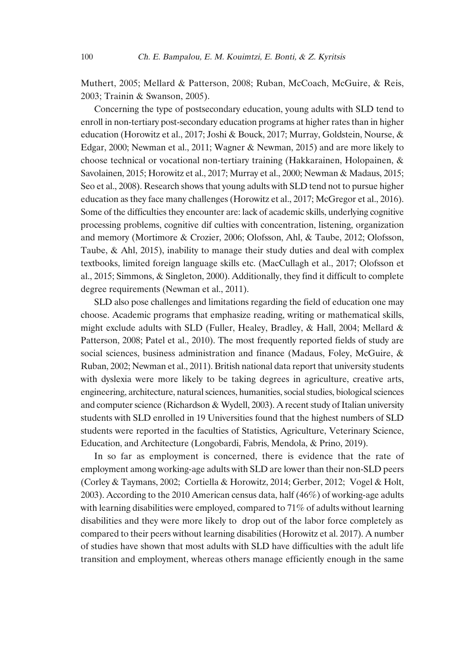Muthert, 2005; Mellard & Patterson, 2008; Ruban, McCoach, McGuire, & Reis, 2003; Trainin & Swanson, 2005).

Concerning the type of postsecondary education, young adults with SLD tend to enroll in non-tertiary post-secondary education programs at higher rates than in higher education (Horowitz et al., 2017; Joshi & Bouck, 2017; Murray, Goldstein, Nourse, & Edgar, 2000; Newman et al., 2011; Wagner & Newman, 2015) and are more likely to choose technical or vocational non-tertiary training (Hakkarainen, Holopainen, & Savolainen, 2015; Horowitz et al., 2017; Murray et al., 2000; Newman & Madaus, 2015; Seo et al., 2008). Research shows that young adults with SLD tend not to pursue higher education as they face many challenges (Horowitz et al., 2017; McGregor et al., 2016). Some of the difficulties they encounter are: lack of academic skills, underlying cognitive processing problems, cognitive dif culties with concentration, listening, organization and memory (Mortimore & Crozier, 2006; Olofsson, Ahl, & Taube, 2012; Olofsson, Taube, & Ahl, 2015), inability to manage their study duties and deal with complex textbooks, limited foreign language skills etc. (MacCullagh et al., 2017; Olofsson et al., 2015; Simmons, & Singleton, 2000). Additionally, they find it difficult to complete degree requirements (Newman et al., 2011).

SLD also pose challenges and limitations regarding the field of education one may choose. Academic programs that emphasize reading, writing or mathematical skills, might exclude adults with SLD (Fuller, Healey, Bradley, & Hall, 2004; Mellard & Patterson, 2008; Patel et al., 2010). The most frequently reported fields of study are social sciences, business administration and finance (Madaus, Foley, McGuire, & Ruban, 2002; Newman et al., 2011). British national data report that university students with dyslexia were more likely to be taking degrees in agriculture, creative arts, engineering, architecture, natural sciences, humanities, social studies, biological sciences and computer science (Richardson & Wydell, 2003). A recent study of Italian university students with SLD enrolled in 19 Universities found that the highest numbers of SLD students were reported in the faculties of Statistics, Agriculture, Veterinary Science, Education, and Architecture (Longobardi, Fabris, Mendola, & Prino, 2019).

In so far as employment is concerned, there is evidence that the rate of employment among working-age adults with SLD are lower than their non-SLD peers (Corley & Taymans, 2002; Cortiella & Horowitz, 2014; Gerber, 2012; Vogel & Holt, 2003). According to the 2010 American census data, half (46%) of working-age adults with learning disabilities were employed, compared to 71% of adults without learning disabilities and they were more likely to drop out of the labor force completely as compared to their peers without learning disabilities (Horowitz et al. 2017). A number of studies have shown that most adults with SLD have difficulties with the adult life transition and employment, whereas others manage efficiently enough in the same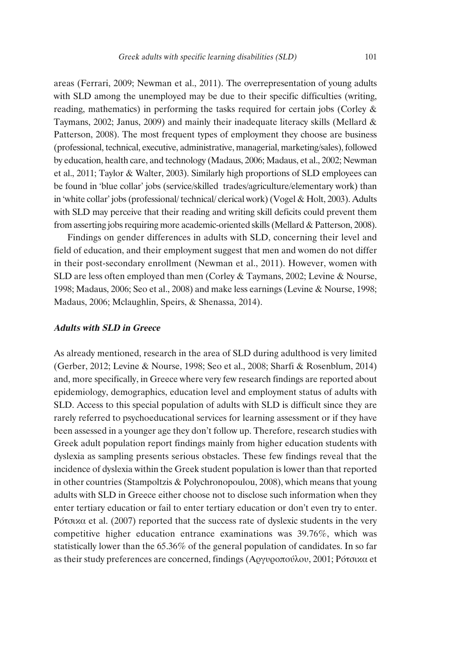areas (Ferrari, 2009; Newman et al., 2011). The overrepresentation of young adults with SLD among the unemployed may be due to their specific difficulties (writing, reading, mathematics) in performing the tasks required for certain jobs (Corley & Taymans, 2002; Janus, 2009) and mainly their inadequate literacy skills (Mellard  $\&$ Patterson, 2008). The most frequent types of employment they choose are business (professional, technical, executive, administrative, managerial, marketing/sales), followed by education, health care, and technology (Madaus, 2006; Madaus, et al., 2002; Newman et al., 2011; Taylor & Walter, 2003). Similarly high proportions of SLD employees can be found in 'blue collar' jobs (service/skilled trades/agriculture/elementary work) than in 'white collar' jobs(professional/ technical/ clerical work)(Vogel & Holt, 2003). Adults with SLD may perceive that their reading and writing skill deficits could prevent them from asserting jobs requiring more academic-oriented skills (Mellard & Patterson, 2008).

Findings on gender differences in adults with SLD, concerning their level and field of education, and their employment suggest that men and women do not differ in their post-secondary enrollment (Newman et al., 2011). However, women with SLD are less often employed than men (Corley & Taymans, 2002; Levine & Nourse, 1998; Madaus, 2006; Seo et al., 2008) and make less earnings (Levine & Nourse, 1998; Madaus, 2006; Mclaughlin, Speirs, & Shenassa, 2014).

#### **Adults with SLD in Greece**

As already mentioned, research in the area of SLD during adulthood is very limited (Gerber, 2012; Levine & Nourse, 1998; Seo et al., 2008; Sharfi & Rosenblum, 2014) and, more specifically, in Greece where very few research findings are reported about epidemiology, demographics, education level and employment status of adults with SLD. Access to this special population of adults with SLD is difficult since they are rarely referred to psychoeducational services for learning assessment or if they have been assessed in a younger age they don't follow up. Therefore, research studies with Greek adult population report findings mainly from higher education students with dyslexia as sampling presents serious obstacles. These few findings reveal that the incidence of dyslexia within the Greek student population is lower than that reported in other countries (Stampoltzis & Polychronopoulou, 2008), which means that young adults with SLD in Greece either choose not to disclose such information when they enter tertiary education or fail to enter tertiary education or don't even try to enter. Ρότσικα et al. (2007) reported that the success rate of dyslexic students in the very competitive higher education entrance examinations was 39.76%, which was statistically lower than the 65.36% of the general population of candidates. In so far as their study preferences are concerned, findings (Αργυροπούλου, 2001; Ρότσικα et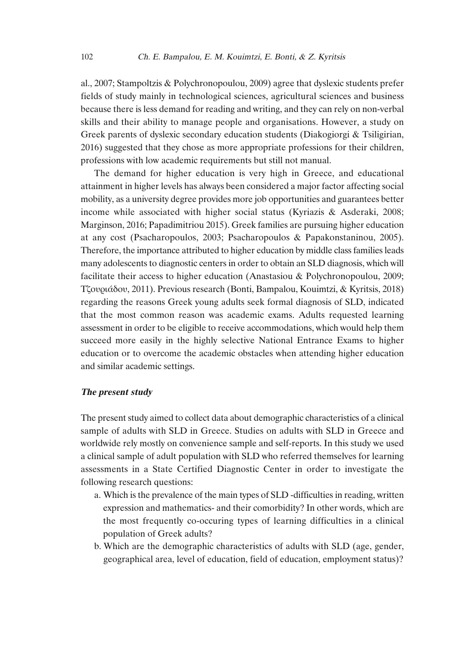al., 2007; Stampoltzis & Polychronopoulou, 2009) agree that dyslexic students prefer fields of study mainly in technological sciences, agricultural sciences and business because there is less demand for reading and writing, and they can rely on non-verbal skills and their ability to manage people and organisations. However, a study on Greek parents of dyslexic secondary education students (Diakogiorgi & Tsiligirian, 2016) suggested that they chose as more appropriate professions for their children, professions with low academic requirements but still not manual.

The demand for higher education is very high in Greece, and educational attainment in higher levels has always been considered a major factor affecting social mobility, as a university degree provides more job opportunities and guarantees better income while associated with higher social status (Kyriazis & Asderaki, 2008; Marginson, 2016; Papadimitriou 2015). Greek families are pursuing higher education at any cost (Psacharopoulos, 2003; Psacharopoulos & Papakonstaninou, 2005). Therefore, the importance attributed to higher education by middle class families leads many adolescents to diagnostic centers in order to obtain an SLD diagnosis, which will facilitate their access to higher education (Anastasiou & Polychronopoulou, 2009; Τζουριάδου, 2011). Previous research (Bonti, Bampalou, Kouimtzi, & Kyritsis, 2018) regarding the reasons Greek young adults seek formal diagnosis of SLD, indicated that the most common reason was academic exams. Adults requested learning assessment in order to be eligible to receive accommodations, which would help them succeed more easily in the highly selective National Entrance Exams to higher education or to overcome the academic obstacles when attending higher education and similar academic settings.

#### **The present study**

The present study aimed to collect data about demographic characteristics of a clinical sample of adults with SLD in Greece. Studies on adults with SLD in Greece and worldwide rely mostly on convenience sample and self-reports. In this study we used a clinical sample of adult population with SLD who referred themselves for learning assessments in a State Certified Diagnostic Center in order to investigate the following research questions:

- a. Which is the prevalence of the main types of SLD -difficulties in reading, written expression and mathematics- and their comorbidity? In other words, which are the most frequently co-occuring types of learning difficulties in a clinical population of Greek adults?
- b. Which are the demographic characteristics of adults with SLD (age, gender, geographical area, level of education, field of education, employment status)?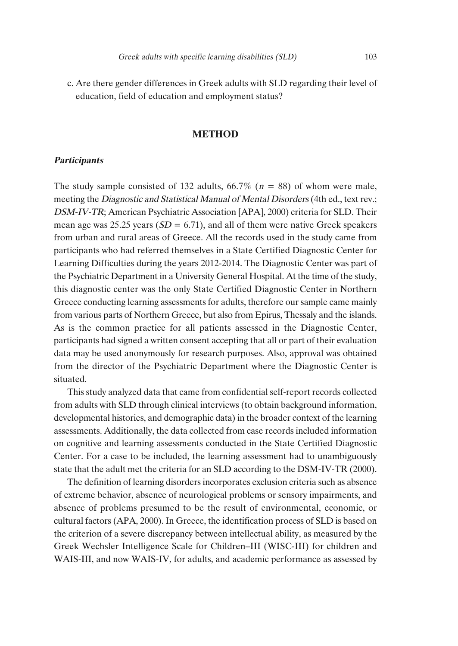c. Are there gender differences in Greek adults with SLD regarding their level of education, field of education and employment status?

#### **METHOD**

#### **Participants**

The study sample consisted of 132 adults,  $66.7\%$  ( $n = 88$ ) of whom were male, meeting the Diagnostic and Statistical Manual of Mental Disorders (4th ed., text rev.; DSM-IV-TR; American Psychiatric Association [APA], 2000) criteria for SLD. Their mean age was 25.25 years ( $SD = 6.71$ ), and all of them were native Greek speakers from urban and rural areas of Greece. All the records used in the study came from participants who had referred themselves in a State Certified Diagnostic Center for Learning Difficulties during the years 2012-2014. The Diagnostic Center was part of the Psychiatric Department in a University General Hospital. At the time of the study, this diagnostic center was the only State Certified Diagnostic Center in Northern Greece conducting learning assessments for adults, therefore our sample came mainly from various parts of Northern Greece, but also from Epirus, Thessaly and the islands. As is the common practice for all patients assessed in the Diagnostic Center, participants had signed a written consent accepting that all or part of their evaluation data may be used anonymously for research purposes. Also, approval was obtained from the director of the Psychiatric Department where the Diagnostic Center is situated.

This study analyzed data that came from confidential self-report records collected from adults with SLD through clinical interviews (to obtain background information, developmental histories, and demographic data) in the broader context of the learning assessments. Additionally, the data collected from case records included information on cognitive and learning assessments conducted in the State Certified Diagnostic Center. For a case to be included, the learning assessment had to unambiguously state that the adult met the criteria for an SLD according to the DSM-IV-TR (2000).

The definition of learning disorders incorporates exclusion criteria such as absence of extreme behavior, absence of neurological problems or sensory impairments, and absence of problems presumed to be the result of environmental, economic, or cultural factors (APA, 2000). Ιn Greece, the identification process of SLD is based on the criterion of a severe discrepancy between intellectual ability, as measured by the Greek Wechsler Intelligence Scale for Children–III (WISC-III) for children and WAIS-III, and now WAIS-IV, for adults, and academic performance as assessed by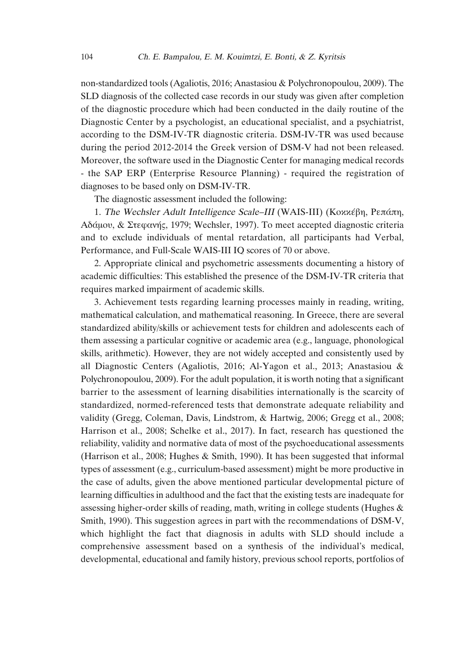non-standardized tools (Agaliotis, 2016; Anastasiou & Polychronopoulou, 2009). The SLD diagnosis of the collected case records in our study was given after completion of the diagnostic procedure which had been conducted in the daily routine of the Diagnostic Center by a psychologist, an educational specialist, and a psychiatrist, according to the DSM-IV-TR diagnostic criteria. DSM-IV-TR was used because during the period 2012-2014 the Greek version of DSM-V had not been released. Moreover, the software used in the Diagnostic Center for managing medical records - the SAP ERP (Enterprise Resource Planning) - required the registration of diagnoses to be based only on DSM-IV-TR.

The diagnostic assessment included the following:

1. The Wechsler Adult Intelligence Scale–III (WAIS-III) (Κοκκέβη, Ρεπάπη, Αδάµου, & Στεφανής, 1979; Wechsler, 1997). To meet accepted diagnostic criteria and to exclude individuals of mental retardation, all participants had Verbal, Performance, and Full-Scale WAIS-III IQ scores of 70 or above.

2. Appropriate clinical and psychometric assessments documenting a history of academic difficulties: This established the presence of the DSM-IV-TR criteria that requires marked impairment of academic skills.

3. Achievement tests regarding learning processes mainly in reading, writing, mathematical calculation, and mathematical reasoning. In Greece, there are several standardized ability/skills or achievement tests for children and adolescents each of them assessing a particular cognitive or academic area (e.g., language, phonological skills, arithmetic). However, they are not widely accepted and consistently used by all Diagnostic Centers (Agaliotis, 2016; Al-Yagon et al., 2013; Anastasiou & Polychronopoulou, 2009). For the adult population, it is worth noting that a significant barrier to the assessment of learning disabilities internationally is the scarcity of standardized, normed-referenced tests that demonstrate adequate reliability and validity (Gregg, Coleman, Davis, Lindstrom, & Hartwig, 2006; Gregg et al., 2008; Harrison et al., 2008; Schelke et al., 2017). In fact, research has questioned the reliability, validity and normative data of most of the psychoeducational assessments (Harrison et al., 2008; Hughes & Smith, 1990). It has been suggested that informal types of assessment (e.g., curriculum-based assessment) might be more productive in the case of adults, given the above mentioned particular developmental picture of learning difficulties in adulthood and the fact that the existing tests are inadequate for assessing higher-order skills of reading, math, writing in college students (Hughes & Smith, 1990). This suggestion agrees in part with the recommendations of DSM-V, which highlight the fact that diagnosis in adults with SLD should include a comprehensive assessment based on a synthesis of the individual's medical, developmental, educational and family history, previous school reports, portfolios of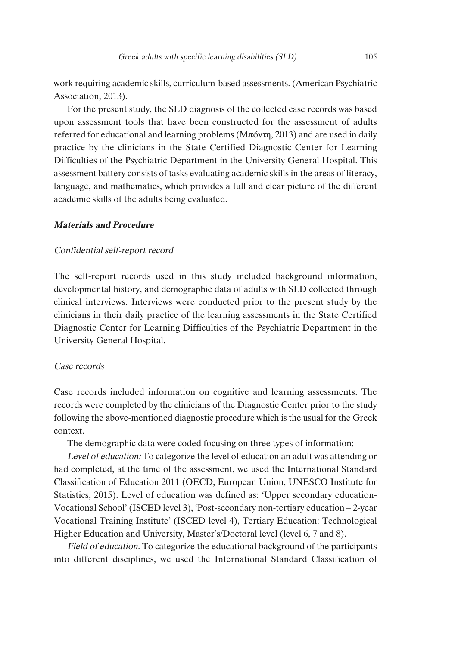work requiring academic skills, curriculum-based assessments. (American Psychiatric Association, 2013).

For the present study, the SLD diagnosis of the collected case records was based upon assessment tools that have been constructed for the assessment of adults referred for educational and learning problems (Μπόντη, 2013) and are used in daily practice by the clinicians in the State Certified Diagnostic Center for Learning Difficulties of the Psychiatric Department in the University General Hospital. This assessment battery consists of tasks evaluating academic skills in the areas of literacy, language, and mathematics, which provides a full and clear picture of the different academic skills of the adults being evaluated.

#### **Materials and Procedure**

#### Confidential self-report record

The self-report records used in this study included background information, developmental history, and demographic data of adults with SLD collected through clinical interviews. Interviews were conducted prior to the present study by the clinicians in their daily practice of the learning assessments in the State Certified Diagnostic Center for Learning Difficulties of the Psychiatric Department in the University General Hospital.

#### Case records

Case records included information on cognitive and learning assessments. The records were completed by the clinicians of the Diagnostic Center prior to the study following the above-mentioned diagnostic procedure which is the usual for the Greek context.

The demographic data were coded focusing on three types of information:

Level of education: To categorize the level of education an adult was attending or had completed, at the time of the assessment, we used the International Standard Classification of Education 2011 (OECD, European Union, UNESCO Institute for Statistics, 2015). Level of education was defined as: 'Upper secondary education-Vocational School' (ISCED level 3), 'Post-secondary non-tertiary education – 2-year Vocational Training Institute' (ISCED level 4), Tertiary Education: Technological Higher Education and University, Master's/Doctoral level (level 6, 7 and 8).

Field of education. To categorize the educational background of the participants into different disciplines, we used the International Standard Classification of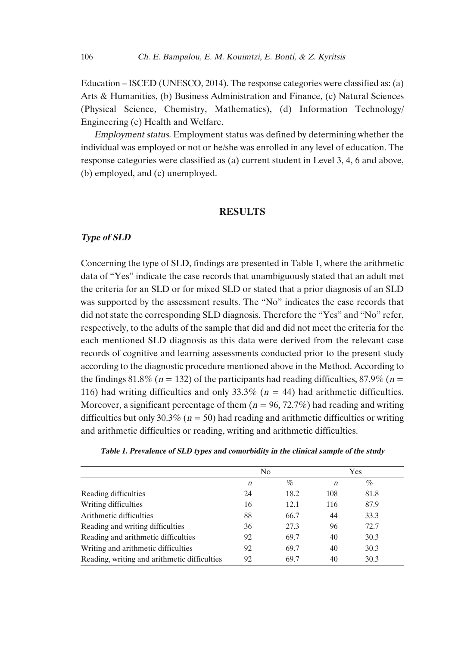Education – ISCED (UNESCO, 2014). The response categories were classified as: (a) Arts & Humanities, (b) Business Administration and Finance, (c) Natural Sciences (Physical Science, Chemistry, Mathematics), (d) Information Technology/ Engineering (e) Health and Welfare.

Employment status. Employment status was defined by determining whether the individual was employed or not or he/she was enrolled in any level of education. The response categories were classified as (a) current student in Level 3, 4, 6 and above, (b) employed, and (c) unemployed.

#### **RESULTS**

#### **Type of SLD**

Concerning the type of SLD, findings are presented in Table 1, where the arithmetic data of "Yes" indicate the case records that unambiguously stated that an adult met the criteria for an SLD or for mixed SLD or stated that a prior diagnosis of an SLD was supported by the assessment results. The "No" indicates the case records that did not state the corresponding SLD diagnosis. Therefore the "Yes" and "No" refer, respectively, to the adults of the sample that did and did not meet the criteria for the each mentioned SLD diagnosis as this data were derived from the relevant case records of cognitive and learning assessments conducted prior to the present study according to the diagnostic procedure mentioned above in the Method. According to the findings 81.8% ( $n = 132$ ) of the participants had reading difficulties, 87.9% ( $n =$ 116) had writing difficulties and only 33.3% ( $n = 44$ ) had arithmetic difficulties. Moreover, a significant percentage of them  $(n = 96, 72.7%)$  had reading and writing difficulties but only 30.3% ( $n = 50$ ) had reading and arithmetic difficulties or writing and arithmetic difficulties or reading, writing and arithmetic difficulties.

|                                              | N <sub>0</sub>   |      | Yes              |      |  |
|----------------------------------------------|------------------|------|------------------|------|--|
|                                              | $\boldsymbol{n}$ | %    | $\boldsymbol{n}$ | %    |  |
| Reading difficulties                         | 24               | 18.2 | 108              | 81.8 |  |
| Writing difficulties                         | 16               | 12.1 | 116              | 87.9 |  |
| Arithmetic difficulties                      | 88               | 66.7 | 44               | 33.3 |  |
| Reading and writing difficulties             | 36               | 27.3 | 96               | 72.7 |  |
| Reading and arithmetic difficulties          | 92               | 69.7 | 40               | 30.3 |  |
| Writing and arithmetic difficulties          | 92               | 69.7 | 40               | 30.3 |  |
| Reading, writing and arithmetic difficulties | 92               | 69.7 | 40               | 30.3 |  |

#### **Table 1. Prevalence of SLD types and comorbidity in the clinical sample of the study**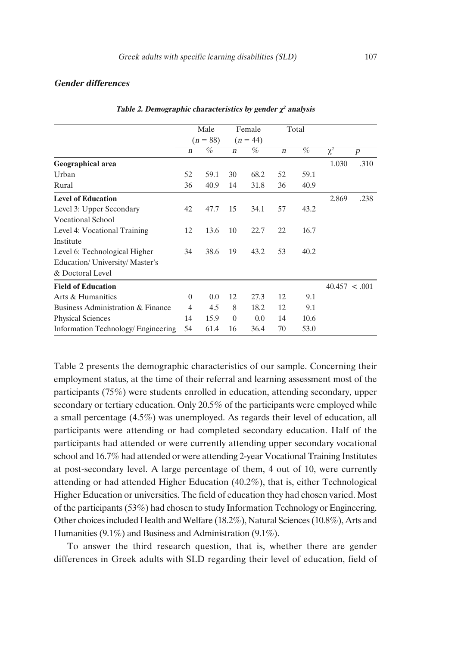#### **Gender differences**

|                                           | Male<br>$(n = 88)$ |      | Female<br>$(n = 44)$ |      | Total            |      |               |                  |
|-------------------------------------------|--------------------|------|----------------------|------|------------------|------|---------------|------------------|
|                                           |                    |      |                      |      |                  |      |               |                  |
|                                           | $\boldsymbol{n}$   | %    | $\boldsymbol{n}$     | %    | $\boldsymbol{n}$ | %    | $\chi^2$      | $\boldsymbol{p}$ |
| Geographical area                         |                    |      |                      |      |                  |      | 1.030         | .310             |
| Urban                                     | 52                 | 59.1 | 30                   | 68.2 | 52               | 59.1 |               |                  |
| Rural                                     | 36                 | 40.9 | 14                   | 31.8 | 36               | 40.9 |               |                  |
| <b>Level of Education</b>                 |                    |      |                      |      |                  |      | 2.869         | .238             |
| Level 3: Upper Secondary                  | 42                 | 47.7 | 15                   | 34.1 | 57               | 43.2 |               |                  |
| <b>Vocational School</b>                  |                    |      |                      |      |                  |      |               |                  |
| Level 4: Vocational Training              | 12                 | 13.6 | 10                   | 22.7 | 22               | 16.7 |               |                  |
| Institute                                 |                    |      |                      |      |                  |      |               |                  |
| Level 6: Technological Higher             | 34                 | 38.6 | 19                   | 43.2 | 53               | 40.2 |               |                  |
| Education/ University/ Master's           |                    |      |                      |      |                  |      |               |                  |
| & Doctoral Level                          |                    |      |                      |      |                  |      |               |                  |
| <b>Field of Education</b>                 |                    |      |                      |      |                  |      | 40.457 < .001 |                  |
| Arts & Humanities                         | $\Omega$           | 0.0  | 12                   | 27.3 | 12               | 9.1  |               |                  |
| Business Administration & Finance         | $\overline{4}$     | 4.5  | 8                    | 18.2 | 12               | 9.1  |               |                  |
| <b>Physical Sciences</b>                  | 14                 | 15.9 | $\overline{0}$       | 0.0  | 14               | 10.6 |               |                  |
| <b>Information Technology/Engineering</b> | 54                 | 61.4 | 16                   | 36.4 | 70               | 53.0 |               |                  |

#### **Table 2. Demographic characteristics by gender χ<sup>2</sup> analysis**

Table 2 presents the demographic characteristics of our sample. Concerning their employment status, at the time of their referral and learning assessment most of the participants (75%) were students enrolled in education, attending secondary, upper secondary or tertiary education. Only 20.5% of the participants were employed while a small percentage (4.5%) was unemployed. As regards their level of education, all participants were attending or had completed secondary education. Half of the participants had attended or were currently attending upper secondary vocational school and 16.7% had attended or were attending 2-year Vocational Training Institutes at post-secondary level. A large percentage of them, 4 out of 10, were currently attending or had attended Higher Education (40.2%), that is, either Technological Higher Education or universities. The field of education they had chosen varied. Most of the participants  $(53%)$  had chosen to study Information Technology or Engineering. Other choicesincluded Health and Welfare (18.2%), Natural Sciences(10.8%), Arts and Humanities (9.1%) and Business and Administration (9.1%).

To answer the third research question, that is, whether there are gender differences in Greek adults with SLD regarding their level of education, field of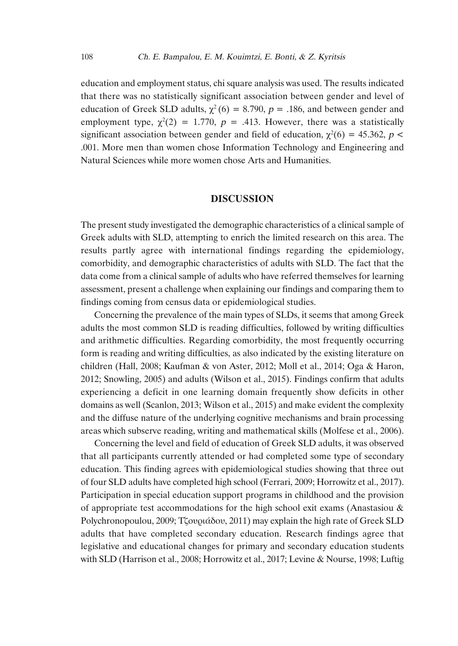education and employment status, chi square analysis was used. The results indicated that there was no statistically significant association between gender and level of education of Greek SLD adults,  $\chi^2$  (6) = 8.790, p = .186, and between gender and employment type,  $\chi^2(2) = 1.770$ ,  $p = .413$ . However, there was a statistically significant association between gender and field of education,  $\chi^2(6) = 45.362$ ,  $p <$ .001. More men than women chose Information Technology and Engineering and Natural Sciences while more women chose Arts and Humanities.

#### **DISCUSSION**

The present study investigated the demographic characteristics of a clinical sample of Greek adults with SLD, attempting to enrich the limited research on this area. The results partly agree with international findings regarding the epidemiology, comorbidity, and demographic characteristics of adults with SLD. The fact that the data come from a clinical sample of adults who have referred themselves for learning assessment, present a challenge when explaining our findings and comparing them to findings coming from census data or epidemiological studies.

Concerning the prevalence of the main types of SLDs, it seems that among Greek adults the most common SLD is reading difficulties, followed by writing difficulties and arithmetic difficulties. Regarding comorbidity, the most frequently occurring form is reading and writing difficulties, as also indicated by the existing literature on children (Hall, 2008; Kaufman & von Aster, 2012; Moll et al., 2014; Oga & Haron, 2012; Snowling, 2005) and adults (Wilson et al., 2015). Findings confirm that adults experiencing a deficit in one learning domain frequently show deficits in other domains as well (Scanlon, 2013; Wilson et al., 2015) and make evident the complexity and the diffuse nature of the underlying cognitive mechanisms and brain processing areas which subserve reading, writing and mathematical skills (Molfese et al., 2006).

Concerning the level and field of education of Greek SLD adults, it was observed that all participants currently attended or had completed some type of secondary education. This finding agrees with epidemiological studies showing that three out of four SLD adults have completed high school (Ferrari, 2009; Horrowitz et al., 2017). Participation in special education support programs in childhood and the provision of appropriate test accommodations for the high school exit exams (Anastasiou  $\&$ Polychronopoulou, 2009; Τζουριάδου, 2011) may explain the high rate of Greek SLD adults that have completed secondary education. Research findings agree that legislative and educational changes for primary and secondary education students with SLD (Harrison et al., 2008; Horrowitz et al., 2017; Levine & Nourse, 1998; Luftig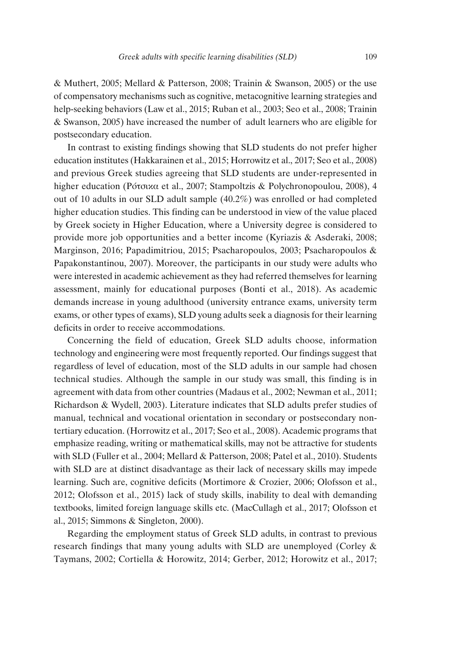& Muthert, 2005; Mellard & Patterson, 2008; Trainin & Swanson, 2005) or the use of compensatory mechanisms such as cognitive, metacognitive learning strategies and help-seeking behaviors (Law et al., 2015; Ruban et al., 2003; Seo et al., 2008; Trainin & Swanson, 2005) have increased the number of adult learners who are eligible for postsecondary education.

In contrast to existing findings showing that SLD students do not prefer higher education institutes (Hakkarainen et al., 2015; Horrowitz et al., 2017; Seo et al., 2008) and previous Greek studies agreeing that SLD students are under-represented in higher education (Ρότσικα et al., 2007; Stampoltzis & Polychronopoulou, 2008), 4 out of 10 adults in our SLD adult sample (40.2%) was enrolled or had completed higher education studies. This finding can be understood in view of the value placed by Greek society in Higher Education, where a University degree is considered to provide more job opportunities and a better income (Kyriazis & Asderaki, 2008; Marginson, 2016; Papadimitriou, 2015; Psacharopoulos, 2003; Psacharopoulos & Papakonstantinou, 2007). Moreover, the participants in our study were adults who were interested in academic achievement as they had referred themselves for learning assessment, mainly for educational purposes (Bonti et al., 2018). As academic demands increase in young adulthood (university entrance exams, university term exams, or other types of exams), SLD young adults seek a diagnosis for their learning deficits in order to receive accommodations.

Concerning the field of education, Greek SLD adults choose, information technology and engineering were most frequently reported. Our findings suggest that regardless of level of education, most of the SLD adults in our sample had chosen technical studies. Although the sample in our study was small, this finding is in agreement with data from other countries (Madaus et al., 2002; Newman et al., 2011; Richardson & Wydell, 2003). Literature indicates that SLD adults prefer studies of manual, technical and vocational orientation in secondary or postsecondary nontertiary education. (Horrowitz et al., 2017; Seo et al., 2008). Academic programs that emphasize reading, writing or mathematical skills, may not be attractive for students with SLD (Fuller et al., 2004; Mellard & Patterson, 2008; Patel et al., 2010). Students with SLD are at distinct disadvantage as their lack of necessary skills may impede learning. Such are, cognitive deficits (Mortimore & Crozier, 2006; Olofsson et al., 2012; Olofsson et al., 2015) lack of study skills, inability to deal with demanding textbooks, limited foreign language skills etc. (MacCullagh et al., 2017; Olofsson et al., 2015; Simmons & Singleton, 2000).

Regarding the employment status of Greek SLD adults, in contrast to previous research findings that many young adults with SLD are unemployed (Corley & Taymans, 2002; Cortiella & Horowitz, 2014; Gerber, 2012; Horowitz et al., 2017;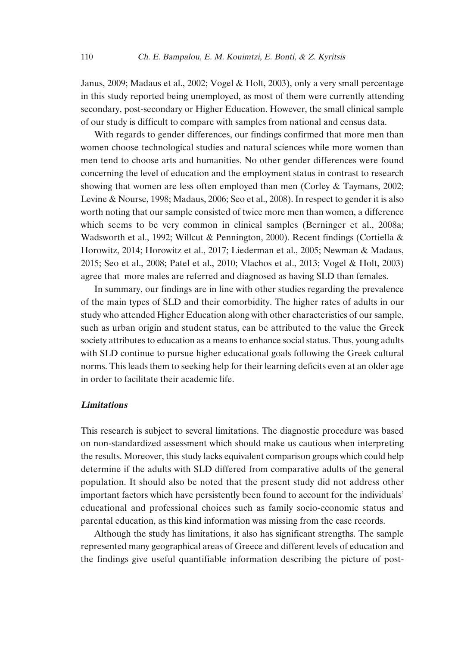Janus, 2009; Madaus et al., 2002; Vogel & Holt, 2003), only a very small percentage in this study reported being unemployed, as most of them were currently attending secondary, post-secondary or Higher Education. However, the small clinical sample of our study is difficult to compare with samples from national and census data.

With regards to gender differences, our findings confirmed that more men than women choose technological studies and natural sciences while more women than men tend to choose arts and humanities. No other gender differences were found concerning the level of education and the employment status in contrast to research showing that women are less often employed than men (Corley & Taymans, 2002; Levine & Nourse, 1998; Madaus, 2006; Seo et al., 2008). In respect to gender it is also worth noting that our sample consisted of twice more men than women, a difference which seems to be very common in clinical samples (Berninger et al., 2008a; Wadsworth et al., 1992; Willcut & Pennington, 2000). Recent findings (Cortiella & Horowitz, 2014; Horowitz et al., 2017; Liederman et al., 2005; Newman & Madaus, 2015; Seo et al., 2008; Patel et al., 2010; Vlachos et al., 2013; Vogel & Holt, 2003) agree that more males are referred and diagnosed as having SLD than females.

In summary, our findings are in line with other studies regarding the prevalence of the main types of SLD and their comorbidity. The higher rates of adults in our study who attended Higher Education along with other characteristics of our sample, such as urban origin and student status, can be attributed to the value the Greek society attributes to education as a means to enhance social status. Thus, young adults with SLD continue to pursue higher educational goals following the Greek cultural norms. This leads them to seeking help for their learning deficits even at an older age in order to facilitate their academic life.

#### **Limitations**

This research is subject to several limitations. The diagnostic procedure was based on non-standardized assessment which should make us cautious when interpreting the results. Moreover, this study lacks equivalent comparison groups which could help determine if the adults with SLD differed from comparative adults of the general population. It should also be noted that the present study did not address other important factors which have persistently been found to account for the individuals' educational and professional choices such as family socio-economic status and parental education, as this kind information was missing from the case records.

Although the study has limitations, it also has significant strengths. The sample represented many geographical areas of Greece and different levels of education and the findings give useful quantifiable information describing the picture of post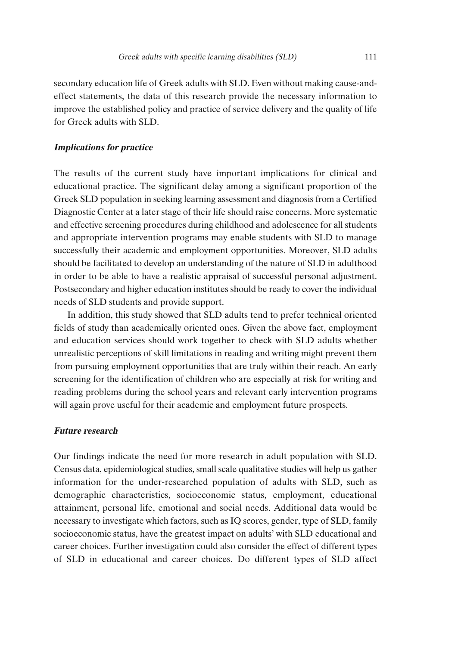secondary education life of Greek adults with SLD. Even without making cause-andeffect statements, the data of this research provide the necessary information to improve the established policy and practice of service delivery and the quality of life for Greek adults with SLD.

#### **Implications for practice**

The results of the current study have important implications for clinical and educational practice. The significant delay among a significant proportion of the Greek SLD population in seeking learning assessment and diagnosis from a Certified Diagnostic Center at a later stage of their life should raise concerns. More systematic and effective screening procedures during childhood and adolescence for all students and appropriate intervention programs may enable students with SLD to manage successfully their academic and employment opportunities. Moreover, SLD adults should be facilitated to develop an understanding of the nature of SLD in adulthood in order to be able to have a realistic appraisal of successful personal adjustment. Postsecondary and higher education institutes should be ready to cover the individual needs of SLD students and provide support.

In addition, this study showed that SLD adults tend to prefer technical oriented fields of study than academically oriented ones. Given the above fact, employment and education services should work together to check with SLD adults whether unrealistic perceptions of skill limitations in reading and writing might prevent them from pursuing employment opportunities that are truly within their reach. An early screening for the identification of children who are especially at risk for writing and reading problems during the school years and relevant early intervention programs will again prove useful for their academic and employment future prospects.

#### **Future research**

Our findings indicate the need for more research in adult population with SLD. Census data, epidemiological studies, small scale qualitative studies will help us gather information for the under-researched population of adults with SLD, such as demographic characteristics, socioeconomic status, employment, educational attainment, personal life, emotional and social needs. Additional data would be necessary to investigate which factors, such as IQ scores, gender, type of SLD, family socioeconomic status, have the greatest impact on adults' with SLD educational and career choices. Further investigation could also consider the effect of different types of SLD in educational and career choices. Do different types of SLD affect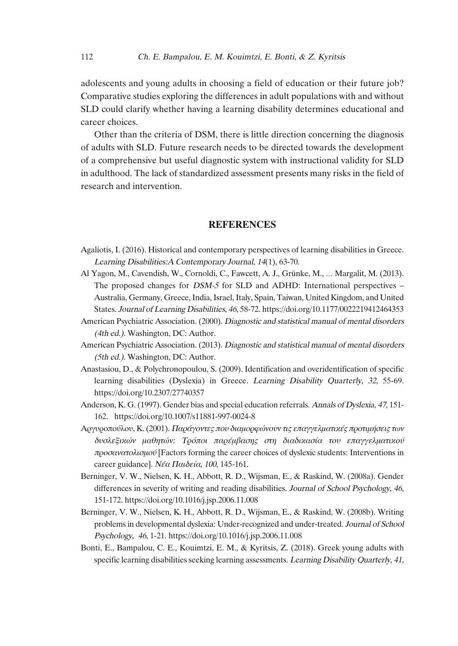adolescents and young adults in choosing a field of education or their future job? Comparative studies exploring the differences in adult populations with and without SLD could clarify whether having a learning disability determines educational and career choices.

Other than the criteria of DSM, there is little direction concerning the diagnosis of adults with SLD. Future research needs to be directed towards the development of a comprehensive but useful diagnostic system with instructional validity for SLD in adulthood. The lack of standardized assessment presents many risks in the field of research and intervention.

#### **REFERENCES**

- Agaliotis, I. (2016). Historical and contemporary perspectives of learning disabilities in Greece. Learning Disabilities:A Contemporary Journal, <sup>14</sup>(1), 63-70.
- Al Yagon, M., Cavendish, W., Cornoldi, C., Fawcett, A. J., Grünke, M., … Margalit, M. (2013). The proposed changes for DSM-5 for SLD and ADHD: International perspectives – Australia, Germany, Greece, India, Israel, Italy, Spain, Taiwan, United Kingdom, and United States. Journal of Learning Disabilities, <sup>46</sup>, 58-72. https://doi.org/10.1177/0022219412464353
- American Psychiatric Association. (2000). Diagnostic and statistical manual of mental disorders (4th ed.). Washington, DC: Author.
- American Psychiatric Association. (2013). Diagnostic and statistical manual of mental disorders (5th ed.). Washington, DC: Author.
- Anastasiou, D., & Polychronopoulou, S. (2009). Identification and overidentification of specific learning disabilities (Dyslexia) in Greece. Learning Disability Quarterly, 32, 55-69. https://doi.org/10.2307/27740357
- Anderson, K. G.(1997). Gender bias and special education referrals. Annals of Dyslexia, 47, 151- 162. https://doi.org/10.1007/s11881-997-0024-8
- Αργυροπούλου, K.(2001). Παράγοντες που διαµορφώνουν τις επαγγελµατικές προτιµήσεις των δυσλεξικών µαθητών: Τρόποι παρέµβασης στη διαδικασία του επαγγελµατικού προσανατολισµού [Factors forming the career choices of dyslexic students: Ιnterventions in career guidance]. Νέα Παιδεία, <sup>100</sup>, 145-161.
- Berninger, V. W., Nielsen, K. H., Abbott, R. D., Wijsman, E., & Raskind, W. (2008a). Gender differences in severity of writing and reading disabilities. Journal of School Psychology, <sup>46</sup>, 151-172. https://doi.org/10.1016/j.jsp.2006.11.008
- Berninger, V. W., Nielsen, K. H., Abbott, R. D., Wijsman, E., & Raskind, W. (2008b). Writing problemsin developmental dyslexia: Under-recognized and under-treated. Journal of School Psychology, <sup>46</sup>, 1-21. https://doi.org/10.1016/j.jsp.2006.11.008
- Bonti, E., Bampalou, C. E., Kouimtzi, E. M., & Kyritsis, Z. (2018). Greek young adults with specific learning disabilities seeking learning assessments. Learning Disability Quarterly, 41,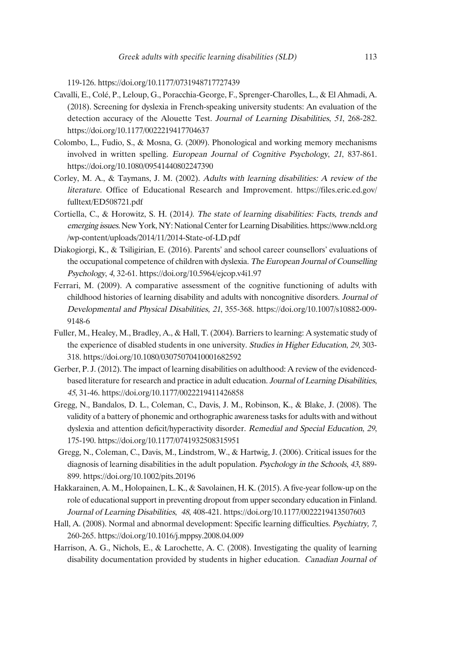119-126. https://doi.org/10.1177/0731948717727439

- Cavalli, E., Colé, P., Leloup, G., Poracchia-George, F., Sprenger-Charolles, L., & El Ahmadi, A. (2018). Screening for dyslexia in French-speaking university students: An evaluation of the detection accuracy of the Alouette Test. Journal of Learning Disabilities, <sup>51</sup>, 268-282. https://doi.org/10.1177/0022219417704637
- Colombo, L., Fudio, S., & Mosna, G. (2009). Phonological and working memory mechanisms involved in written spelling. European Journal of Cognitive Psychology, <sup>21</sup>, 837-861. https://doi.org/10.1080/09541440802247390
- Corley, M. A., & Taymans, J. M. (2002). Adults with learning disabilities: <sup>A</sup> review of the literature. Office of Educational Research and Improvement. https://files.eric.ed.gov/ fulltext/ED508721.pdf
- Cortiella, C., & Horowitz, S. H. (2014). The state of learning disabilities: Facts, trends and emerging issues. New York, NY: National Center for Learning Disabilities. https://www.ncld.org /wp-content/uploads/2014/11/2014-State-of-LD.pdf
- Diakogiorgi, K., & Tsiligirian, E. (2016). Parents' and school career counsellors' evaluations of the occupational competence of children with dyslexia. The European Journal of Counselling Psychology, <sup>4</sup>, 32-61. https://doi.org/10.5964/ejcop.v4i1.97
- Ferrari, M. (2009). A comparative assessment of the cognitive functioning of adults with childhood histories of learning disability and adults with noncognitive disorders. Journal of Developmental and Physical Disabilities, <sup>21</sup>, 355-368. https://doi.org/10.1007/s10882-009- 9148-6
- Fuller, M., Healey, M., Bradley, A., & Hall, T. (2004). Barriers to learning: A systematic study of the experience of disabled students in one university. Studies in Higher Education, <sup>29</sup>, 303- 318. https://doi.org/10.1080/03075070410001682592
- Gerber, P. J.(2012). The impact of learning disabilities on adulthood: A review of the evidencedbased literature for research and practice in adult education. Journal of Learning Disabilities, <sup>45</sup>, 31-46. https://doi.org/10.1177/0022219411426858
- Gregg, N., Bandalos, D. L., Coleman, C., Davis, J. M., Robinson, K., & Blake, J. (2008). The validity of a battery of phonemic and orthographic awarenesstasksfor adults with and without dyslexia and attention deficit/hyperactivity disorder. Remedial and Special Education, <sup>29</sup>, 175-190. https://doi.org/10.1177/0741932508315951
- Gregg, N., Coleman, C., Davis, M., Lindstrom, W., & Hartwig, J. (2006). Critical issues for the diagnosis of learning disabilities in the adult population. Psychology in the Schools, <sup>43</sup>, 889- 899. https://doi.org/10.1002/pits.20196
- Hakkarainen, A. M., Holopainen, L. K., & Savolainen, H. K. (2015). A five-year follow-up on the role of educationalsupport in preventing dropout from uppersecondary education in Finland. Journal of Learning Disabilities, <sup>48</sup>, 408-421. https://doi.org/10.1177/0022219413507603
- Hall, A. (2008). Normal and abnormal development: Specific learning difficulties. Psychiatry, <sup>7</sup>, 260-265. https://doi.org/10.1016/j.mppsy.2008.04.009
- Harrison, A. G., Nichols, E., & Larochette, A. C. (2008). Investigating the quality of learning disability documentation provided by students in higher education. Canadian Journal of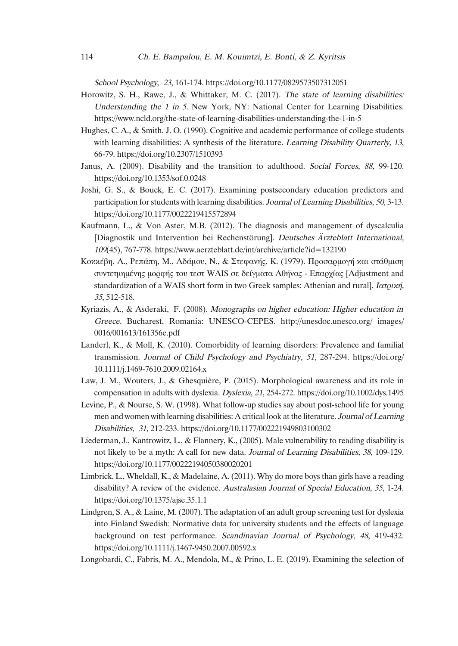School Psychology, <sup>23</sup>, 161-174. https://doi.org/10.1177/0829573507312051

- Horowitz, S. H., Rawe, J., & Whittaker, M. C. (2017). The state of learning disabilities: Understanding the 1 in 5. New York, NY: National Center for Learning Disabilities. https://www.ncld.org/the-state-of-learning-disabilities-understanding-the-1-in-5
- Hughes, C. A., & Smith, J. O. (1990). Cognitive and academic performance of college students with learning disabilities: A synthesis of the literature. Learning Disability Quarterly, 13, 66-79. https://doi.org/10.2307/1510393
- Janus, A. (2009). Disability and the transition to adulthood. Social Forces, <sup>88</sup>, 99-120. https://doi.org/10.1353/sof.0.0248
- Joshi, G. S., & Bouck, E. C. (2017). Examining postsecondary education predictors and participation for students with learning disabilities. Journal of Learning Disabilities, 50, 3-13. https://doi.org/10.1177/0022219415572894
- Kaufmann, L., & Von Aster, M.B. (2012). The diagnosis and management of dyscalculia [Diagnostik und Intervention bei Rechenstörung]. Deutsches *Ä*rzteblatt International, <sup>109</sup>(45), 767-778. https://www.aerzteblatt.de/int/archive/article?id=132190
- Κοκκέβη, A., Ρεπάπη, M., Αδάµου, N., & Στεφανής, K. (1979). Προσαρµογή και στάθµιση συντετµηµένης µορφής του τεστ WAIS σε δείγµατα Αθήνας - Επαρχίας [Adjustment and standardization of a WAIS short form in two Greek samples: Athenian and rural]. Ιατρική, <sup>35</sup>, 512-518.
- Kyriazis, A., & Asderaki, F. (2008). Monographs on higher education: Higher education in Greece. Bucharest, Romania: UNESCO-CEPES. http://unesdoc.unesco.org/ images/ 0016/001613/161356e.pdf
- Landerl, K., & Moll, K. (2010). Comorbidity of learning disorders: Prevalence and familial transmission. Journal of Child Psychology and Psychiatry, <sup>51</sup>, 287-294. https://doi.org/ 10.1111/j.1469-7610.2009.02164.x
- Law, J. M., Wouters, J., & Ghesquière, P. (2015). Morphological awareness and its role in compensation in adults with dyslexia. Dyslexia, <sup>21</sup>, 254-272. https://doi.org/10.1002/dys.1495
- Levine, P., & Nourse, S. W. (1998). What follow-up studies say about post-school life for young men and women with learning disabilities: A critical look at the literature. Journal of Learning Disabilities, <sup>31</sup>, 212-233. https://doi.org/10.1177/002221949803100302
- Liederman, J., Kantrowitz, L., & Flannery, K., (2005). Male vulnerability to reading disability is not likely to be a myth: A call for new data. Journal of Learning Disabilities, <sup>38</sup>, 109-129. https://doi.org/10.1177/00222194050380020201
- Limbrick, L., Wheldall, K., & Madelaine, A. (2011). Why do more boys than girls have a reading disability? A review of the evidence. Australasian Journal of Special Education, <sup>35</sup>, 1-24. https://doi.org/10.1375/ajse.35.1.1
- Lindgren, S. A., & Laine, M. (2007). The adaptation of an adult group screening test for dyslexia into Finland Swedish: Normative data for university students and the effects of language background on test performance. Scandinavian Journal of Psychology, <sup>48</sup>, 419-432. https://doi.org/10.1111/j.1467-9450.2007.00592.x
- Longobardi, C., Fabris, M. A., Mendola, M., & Prino, L. E. (2019). Examining the selection of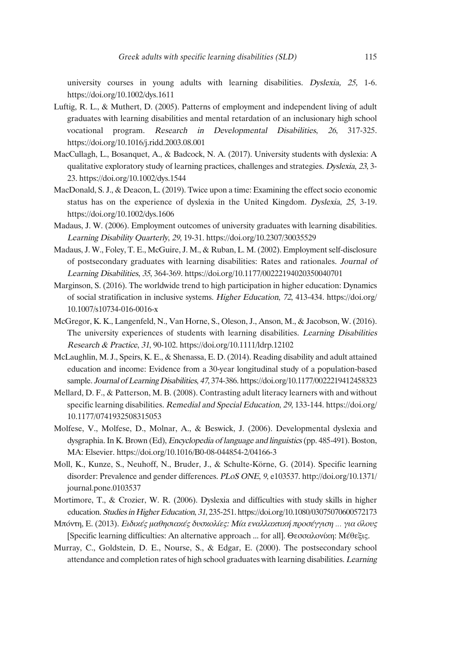university courses in young adults with learning disabilities. Dyslexia, 25, 1-6. https://doi.org/10.1002/dys.1611

- Luftig, R. L., & Muthert, D. (2005). Patterns of employment and independent living of adult graduates with learning disabilities and mental retardation of an inclusionary high school vocational program. Research in Developmental Disabilities, <sup>26</sup>, 317-325. https://doi.org/10.1016/j.ridd.2003.08.001
- MacCullagh, L., Bosanquet, A., & Badcock, N. A. (2017). University students with dyslexia: A qualitative exploratory study of learning practices, challenges and strategies. Dyslexia, <sup>23</sup>, 3- 23. https://doi.org/10.1002/dys.1544
- MacDonald, S. J., & Deacon, L. (2019). Twice upon a time: Examining the effect socio economic status has on the experience of dyslexia in the United Kingdom. Dyslexia, <sup>25</sup>, 3-19. https://doi.org/10.1002/dys.1606
- Madaus, J. W. (2006). Employment outcomes of university graduates with learning disabilities. Learning Disability Quarterly, <sup>29</sup>, 19-31. https://doi.org/10.2307/30035529
- Madaus, J. W., Foley, T. E., McGuire, J. M., & Ruban, L. M. (2002). Employment self-disclosure of postsecondary graduates with learning disabilities: Rates and rationales. Journal of Learning Disabilities, <sup>35</sup>, 364-369. https://doi.org/10.1177/00222194020350040701
- Marginson, S. (2016). The worldwide trend to high participation in higher education: Dynamics of social stratification in inclusive systems. Higher Education, <sup>72</sup>, 413-434. https://doi.org/ 10.1007/s10734-016-0016-x
- McGregor, K. K., Langenfeld, N., Van Horne, S., Oleson, J., Anson, M., & Jacobson, W. (2016). The university experiences of students with learning disabilities. Learning Disabilities Research & Practice, <sup>31</sup>, 90-102. https://doi.org/10.1111/ldrp.12102
- McLaughlin, M. J., Speirs, K. E., & Shenassa, E. D. (2014). Reading disability and adult attained education and income: Evidence from a 30-year longitudinal study of a population-based sample. Journal of Learning Disabilities, <sup>47</sup>, 374-386. https://doi.org/10.1177/0022219412458323
- Mellard, D. F., & Patterson, M. B. (2008). Contrasting adult literacy learners with and without specific learning disabilities. Remedial and Special Education, 29, 133-144. https://doi.org/ 10.1177/0741932508315053
- Molfese, V., Molfese, D., Molnar, A., & Beswick, J. (2006). Developmental dyslexia and dysgraphia.In K. Brown (Ed), Encyclopedia of language and linguistics(pp. 485-491). Boston, MA: Elsevier. https://doi.org/10.1016/B0-08-044854-2/04166-3
- Moll, K., Kunze, S., Neuhoff, N., Bruder, J., & Schulte-Körne, G. (2014). Specific learning disorder: Prevalence and gender differences. PLoS ONE, <sup>9</sup>, e103537. http://doi.org/10.1371/ journal.pone.0103537
- Mortimore, T., & Crozier, W. R. (2006). Dyslexia and difficulties with study skills in higher education. Studies in Higher Education, 31, 235-251. https://doi.org/10.1080/03075070600572173
- Μπόντη, E. (2013). Ειδικές µαθησιακές δυσκολίες: Μία εναλλακτική προσέγγιση … για όλους [Specific learning difficulties: An alternative approach ... for all]. Θεσσαλονίκη: Μέθεξις.
- Murray, C., Goldstein, D. E., Nourse, S., & Edgar, E. (2000). The postsecondary school attendance and completion rates of high school graduates with learning disabilities. Learning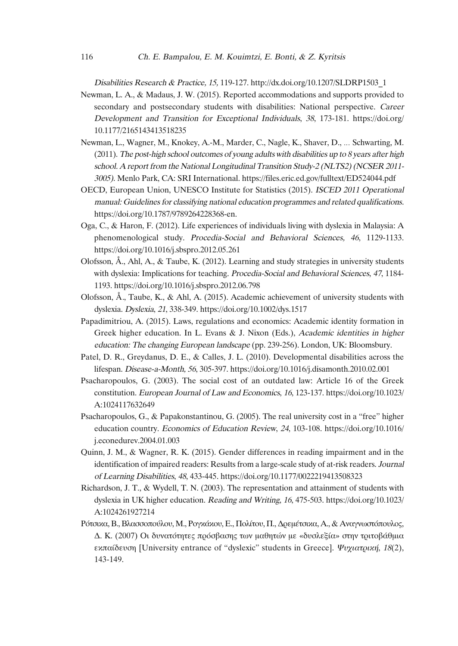Disabilities Research & Practice, 15, 119-127. http://dx.doi.org/10.1207/SLDRP1503\_1

- Newman, L. A., & Madaus, J. W. (2015). Reported accommodations and supports provided to secondary and postsecondary students with disabilities: National perspective. Career Development and Transition for Exceptional Individuals, <sup>38</sup>, 173-181. https://doi.org/ 10.1177/2165143413518235
- Newman, L., Wagner, M., Knokey, A.-M., Marder, C., Nagle, K., Shaver, D., … Schwarting, M. (2011). The post-high school outcomes of young adults with disabilities up to <sup>8</sup> years after high school. A report from the National Longitudinal Transition Study-2 (NLTS2)(NCSER 2011- 3005). Menlo Park, CA: SRI International. https://files.eric.ed.gov/fulltext/ED524044.pdf
- OECD, European Union, UNESCO Institute for Statistics (2015). ISCED <sup>2011</sup> Operational manual: Guidelines for classifying national education programmes and related qualifications. https://doi.org/10.1787/9789264228368-en.
- Oga, C., & Haron, F. (2012). Life experiences of individuals living with dyslexia in Malaysia: A phenomenological study. Procedia-Social and Behavioral Sciences, <sup>46</sup>, 1129-1133. https://doi.org/10.1016/j.sbspro.2012.05.261
- Olofsson, Å., Ahl, A., & Taube, K. (2012). Learning and study strategies in university students with dyslexia: Implications for teaching. Procedia-Social and Behavioral Sciences, 47, 1184-1193. https://doi.org/10.1016/j.sbspro.2012.06.798
- Olofsson, Å., Taube, K., & Ahl, A. (2015). Academic achievement of university students with dyslexia. Dyslexia, <sup>21</sup>, 338-349. https://doi.org/10.1002/dys.1517
- Papadimitriou, A. (2015). Laws, regulations and economics: Academic identity formation in Greek higher education. In L. Evans & J. Nixon (Eds.), Academic identities in higher education: The changing European landscape (pp. 239-256). London, UK: Bloomsbury.
- Patel, D. R., Greydanus, D. E., & Calles, J. L. (2010). Developmental disabilities across the lifespan. Disease-a-Month, <sup>56</sup>, 305-397. https://doi.org/10.1016/j.disamonth.2010.02.001
- Psacharopoulos, G. (2003). The social cost of an outdated law: Article 16 of the Greek constitution. European Journal of Law and Economics, <sup>16</sup>, 123-137. https://doi.org/10.1023/ A:1024117632649
- Psacharopoulos, G., & Papakonstantinou, G. (2005). The real university cost in a "free" higher education country. Economics of Education Review, <sup>24</sup>, 103-108. https://doi.org/10.1016/ j.econedurev.2004.01.003
- Quinn, J. M., & Wagner, R. K. (2015). Gender differences in reading impairment and in the identification of impaired readers: Results from a large-scale study of at-risk readers. Journal of Learning Disabilities, <sup>48</sup>, 433-445. https://doi.org/10.1177/0022219413508323
- Richardson, J. T., & Wydell, T. N. (2003). The representation and attainment of students with dyslexia in UK higher education. Reading and Writing, <sup>16</sup>, 475-503. https://doi.org/10.1023/ A:1024261927214
- Ρότσικα,Β.,Βλασσοπούλου, Μ., Ρογκάκου,Ε., Πολίτου, Π.,∆ρεµέτσικα, Α.,&Αναγνωστόπουλος, ∆. Κ. (2007) Οι δυνατότητες πρόσβασης των µαθητών µε «δυσλεξία» στην τριτοβάθµια εκπαίδευση [University entrance of "dyslexic" students in Greece]. Ψυχιατρική, <sup>18</sup>(2), 143-149.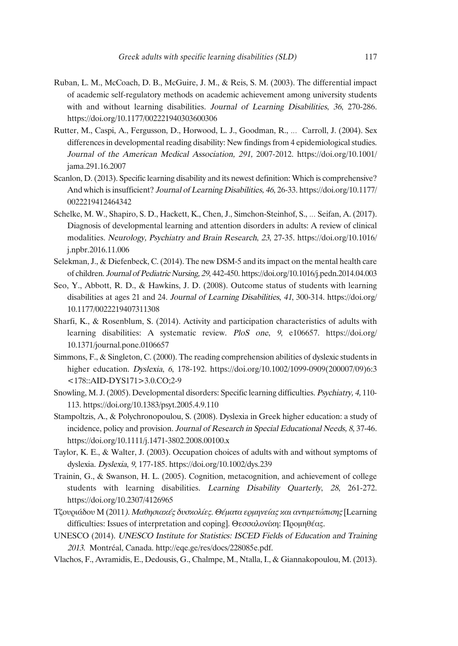- Ruban, L. M., McCoach, D. B., McGuire, J. M., & Reis, S. M. (2003). The differential impact of academic self-regulatory methods on academic achievement among university students with and without learning disabilities. Journal of Learning Disabilities, 36, 270-286. https://doi.org/10.1177/002221940303600306
- Rutter, M., Caspi, A., Fergusson, D., Horwood, L. J., Goodman, R., … Carroll, J. (2004). Sex differences in developmental reading disability: New findings from 4 epidemiological studies. Journal of the American Medical Association, 291, 2007-2012. https://doi.org/10.1001/ jama.291.16.2007
- Scanlon, D.(2013). Specific learning disability and its newest definition: Which is comprehensive? And which isinsufficient? Journal of Learning Disabilities, <sup>46</sup>, 26-33. https://doi.org/10.1177/ 0022219412464342
- Schelke, M. W., Shapiro, S. D., Hackett, K., Chen, J., Simchon-Steinhof, S., … Seifan, A. (2017). Diagnosis of developmental learning and attention disorders in adults: A review of clinical modalities. Neurology, Psychiatry and Brain Research, <sup>23</sup>, 27-35. https://doi.org/10.1016/ j.npbr.2016.11.006
- Selekman, J., & Diefenbeck, C.(2014). The new DSM-5 and itsimpact on the mental health care of children. Journal of Pediatric Nursing, <sup>29</sup>, 442-450. https://doi.org/10.1016/j.pedn.2014.04.003
- Seo, Y., Abbott, R. D., & Hawkins, J. D. (2008). Outcome status of students with learning disabilities at ages 21 and 24. Journal of Learning Disabilities, <sup>41</sup>, 300-314. https://doi.org/ 10.1177/0022219407311308
- Sharfi, K., & Rosenblum, S. (2014). Activity and participation characteristics of adults with learning disabilities: A systematic review. PloS one, <sup>9</sup>, e106657. https://doi.org/ 10.1371/journal.pone.0106657
- Simmons, F., & Singleton, C. (2000). The reading comprehension abilities of dyslexic students in higher education. *Dyslexia, 6, 178-192.* https://doi.org/10.1002/1099-0909(200007/09)6:3 <178::AID-DYS171>3.0.CO;2-9
- Snowling, M. J.(2005). Developmental disorders: Specific learning difficulties. Psychiatry, 4, 110- 113. https://doi.org/10.1383/psyt.2005.4.9.110
- Stampoltzis, A., & Polychronopoulou, S. (2008). Dyslexia in Greek higher education: a study of incidence, policy and provision. Journal of Research in Special Educational Needs, <sup>8</sup>, 37-46. https://doi.org/10.1111/j.1471-3802.2008.00100.x
- Taylor, K. E., & Walter, J. (2003). Occupation choices of adults with and without symptoms of dyslexia. Dyslexia, <sup>9</sup>, 177-185. https://doi.org/10.1002/dys.239
- Trainin, G., & Swanson, H. L. (2005). Cognition, metacognition, and achievement of college students with learning disabilities. Learning Disability Quarterly, <sup>28</sup>, 261-272. https://doi.org/10.2307/4126965
- Τζουριάδου Μ (2011). Μαθησιακές δυσκολίες. Θέµατα ερµηνείας και αντιµετώπισης [Learning difficulties: Issues of interpretation and coping]. Θεσσαλονίκη: Προμηθέας.
- UNESCO (2014). UNESCO Institute for Statistics: ISCED Fields of Education and Training <sup>2013</sup>. Montréal, Canada. http://eqe.ge/res/docs/228085e.pdf.
- Vlachos, F., Avramidis, E., Dedousis, G., Chalmpe, M., Ntalla,I., & Giannakopoulou, M.(2013).